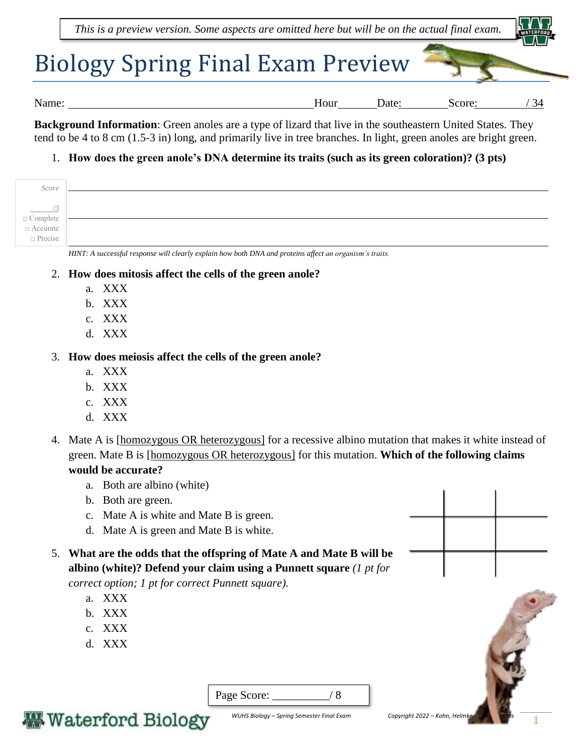

**Background Information**: Green anoles are a type of lizard that live in the southeastern United States. They tend to be 4 to 8 cm (1.5-3 in) long, and primarily live in tree branches. In light, green anoles are bright green.

## 1. **How does the green anole's DNA determine its traits (such as its green coloration)? (3 pts)**

| Score                                                                                                                                                       |  |
|-------------------------------------------------------------------------------------------------------------------------------------------------------------|--|
| $\begin{array}{c}\n\hline\n\end{array}\n\begin{array}{c}\n\hline\n\end{array}\n\text{Complete} \\ \Box \text{Accurate} \\ \Box \text{Precise}\n\end{array}$ |  |

*HINT: A successful response will clearly explain how both DNA and proteins affect an organism's traits.* 

- 2. **How does mitosis affect the cells of the green anole?** 
	- a. XXX
	- b. XXX
	- c. XXX
	- d. XXX

## 3. **How does meiosis affect the cells of the green anole?**

- a. XXX
- b. XXX
- c. XXX
- d. XXX
- 4. Mate A is [homozygous OR heterozygous] for a recessive albino mutation that makes it white instead of green. Mate B is [homozygous OR heterozygous] for this mutation. **Which of the following claims would be accurate?** 
	- a. Both are albino (white)
	- b. Both are green.
	- c. Mate A is white and Mate B is green.
	- d. Mate A is green and Mate B is white.
- 5. **What are the odds that the offspring of Mate A and Mate B will be albino (white)? Defend your claim using a Punnett square** *(1 pt for*

*correct option; 1 pt for correct Punnett square).*

- a. XXX
- b. XXX
- c. XXX
- d. XXX

| Page Score: |  |
|-------------|--|
|             |  |

**Waterford Biology** 

*WUHS Biology – Spring Semester Final Exam Copyright 2022 – Kohn, Helmi*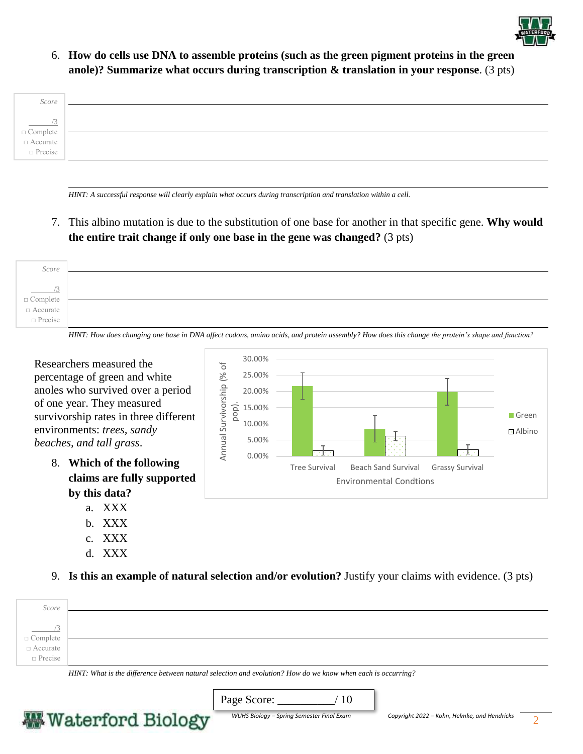

6. **How do cells use DNA to assemble proteins (such as the green pigment proteins in the green anole)? Summarize what occurs during transcription & translation in your response**. (3 pts)



*HINT: A successful response will clearly explain what occurs during transcription and translation within a cell.* 

7. This albino mutation is due to the substitution of one base for another in that specific gene. **Why would the entire trait change if only one base in the gene was changed?** (3 pts)

| Score                                                |  |
|------------------------------------------------------|--|
|                                                      |  |
| $\sqrt{2}$                                           |  |
| $\Box$ Complete<br>$\Box$ Accurate<br>$\Box$ Precise |  |
|                                                      |  |
|                                                      |  |

*HINT: How does changing one base in DNA affect codons, amino acids, and protein assembly? How does this change the protein's shape and function?* 

Tree Survival Beach Sand Survival Grassy Survival

Environmental Condtions

30.00% Researchers measured the  $\overline{\sigma}$ Annual Survivorship (% of Annual Survivorship (% 25.00% percentage of green and white anoles who survived over a period 20.00% of one year. They measured pop). 15.00% survivorship rates in three different 10.00% environments: *trees, sandy*  5.00% *beaches, and tall grass*. 0.00%

- 8. **Which of the following claims are fully supported by this data?** 
	- a. XXX
	- b. XXX
	- c. XXX
	- d. XXX

9. **Is this an example of natural selection and/or evolution?** Justify your claims with evidence. (3 pts)

| Score                           |                                                                                                                                                                                                                                                                                                                                                                                                                               |
|---------------------------------|-------------------------------------------------------------------------------------------------------------------------------------------------------------------------------------------------------------------------------------------------------------------------------------------------------------------------------------------------------------------------------------------------------------------------------|
|                                 |                                                                                                                                                                                                                                                                                                                                                                                                                               |
|                                 |                                                                                                                                                                                                                                                                                                                                                                                                                               |
| $\Box$ Complete $\Box$ Accurate |                                                                                                                                                                                                                                                                                                                                                                                                                               |
|                                 |                                                                                                                                                                                                                                                                                                                                                                                                                               |
| $\Box$ Precise                  |                                                                                                                                                                                                                                                                                                                                                                                                                               |
|                                 | $\frac{1}{2}$ , $\frac{1}{2}$ , $\frac{1}{2}$ , $\frac{1}{2}$ , $\frac{1}{2}$ , $\frac{1}{2}$ , $\frac{1}{2}$ , $\frac{1}{2}$ , $\frac{1}{2}$ , $\frac{1}{2}$ , $\frac{1}{2}$ , $\frac{1}{2}$ , $\frac{1}{2}$ , $\frac{1}{2}$ , $\frac{1}{2}$ , $\frac{1}{2}$ , $\frac{1}{2}$ , $\frac{1}{2}$ , $\frac{1$<br>range and the second contract of the second contract of the second contract of the second contract of the second |

*HINT: What is the difference between natural selection and evolution? How do we know when each is occurring?* 

Page Score: \_\_\_\_\_\_\_\_\_\_/ 10



Green Albino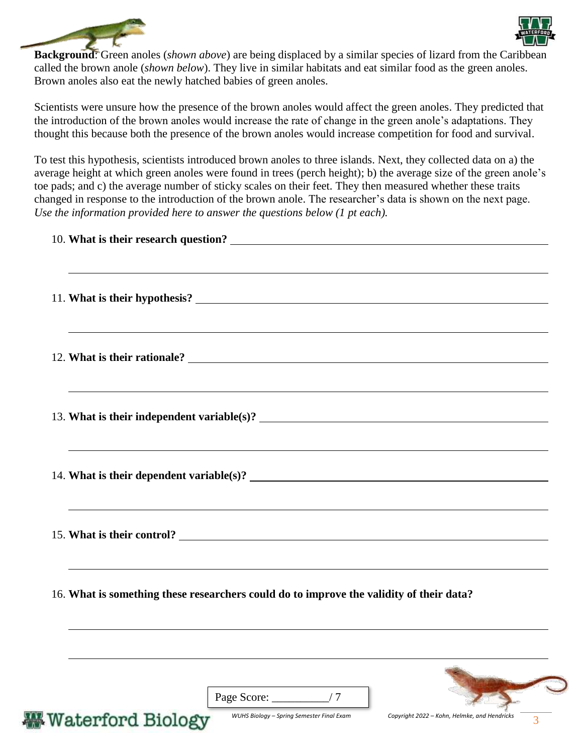



**Background**: Green anoles (*shown above*) are being displaced by a similar species of lizard from the Caribbean called the brown anole (*shown below*). They live in similar habitats and eat similar food as the green anoles. Brown anoles also eat the newly hatched babies of green anoles.

Scientists were unsure how the presence of the brown anoles would affect the green anoles. They predicted that the introduction of the brown anoles would increase the rate of change in the green anole's adaptations. They thought this because both the presence of the brown anoles would increase competition for food and survival.

To test this hypothesis, scientists introduced brown anoles to three islands. Next, they collected data on a) the average height at which green anoles were found in trees (perch height); b) the average size of the green anole's toe pads; and c) the average number of sticky scales on their feet. They then measured whether these traits changed in response to the introduction of the brown anole. The researcher's data is shown on the next page. *Use the information provided here to answer the questions below (1 pt each).*

| 15. What is their control?                                                              | <u> 1989 - Johann Stoff, amerikansk politiker (* 1908)</u> |                                              |  |
|-----------------------------------------------------------------------------------------|------------------------------------------------------------|----------------------------------------------|--|
| 16. What is something these researchers could do to improve the validity of their data? |                                                            |                                              |  |
|                                                                                         | Page Score: $\frac{1}{2}$ / 7                              |                                              |  |
| <b>Waterford Biology</b>                                                                | WUHS Biology - Spring Semester Final Exam                  | Copyright 2022 - Kohn, Helmke, and Hendricks |  |